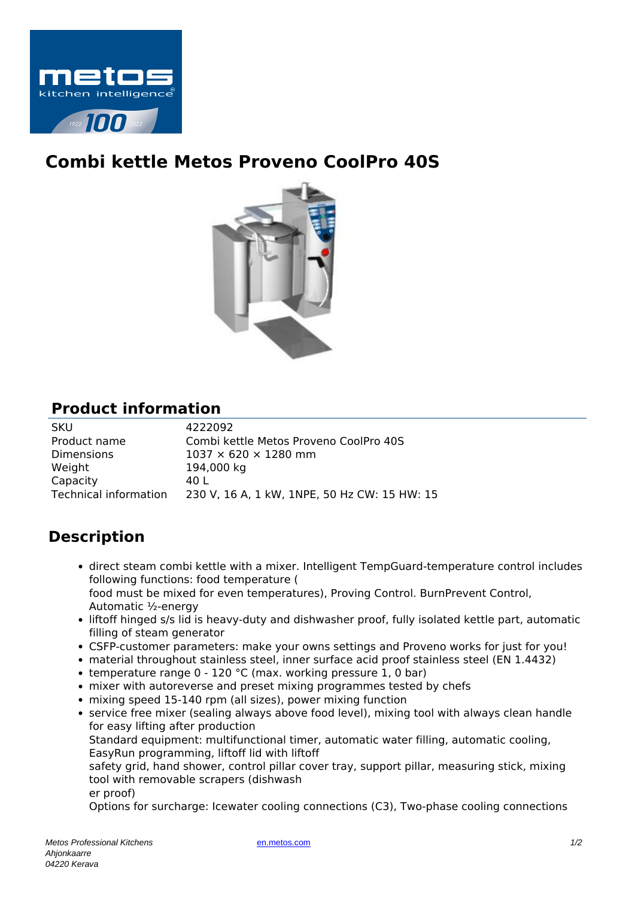

## **Combi kettle Metos Proveno CoolPro 40S**



## **Product information**

| <b>SKU</b>            | 4222092                                      |
|-----------------------|----------------------------------------------|
| Product name          | Combi kettle Metos Proveno CoolPro 40S       |
| <b>Dimensions</b>     | $1037 \times 620 \times 1280$ mm             |
| Weight                | 194,000 kg                                   |
| Capacity              | 40 L                                         |
| Technical information | 230 V, 16 A, 1 kW, 1NPE, 50 Hz CW: 15 HW: 15 |

## **Description**

- direct steam combi kettle with a mixer. Intelligent TempGuard-temperature control includes following functions: food temperature ( food must be mixed for even temperatures), Proving Control. BurnPrevent Control, Automatic ½-energy
- liftoff hinged s/s lid is heavy-duty and dishwasher proof, fully isolated kettle part, automatic filling of steam generator
- CSFP-customer parameters: make your owns settings and Proveno works for just for you!
- material throughout stainless steel, inner surface acid proof stainless steel (EN 1.4432)
- temperature range  $0 120$  °C (max. working pressure 1, 0 bar)
- mixer with autoreverse and preset mixing programmes tested by chefs
- mixing speed 15-140 rpm (all sizes), power mixing function
- service free mixer (sealing always above food level), mixing tool with always clean handle for easy lifting after production

Standard equipment: multifunctional timer, automatic water filling, automatic cooling, EasyRun programming, liftoff lid with liftoff

safety grid, hand shower, control pillar cover tray, support pillar, measuring stick, mixing tool with removable scrapers (dishwash

er proof)

Options for surcharge: Icewater cooling connections (C3), Two-phase cooling connections